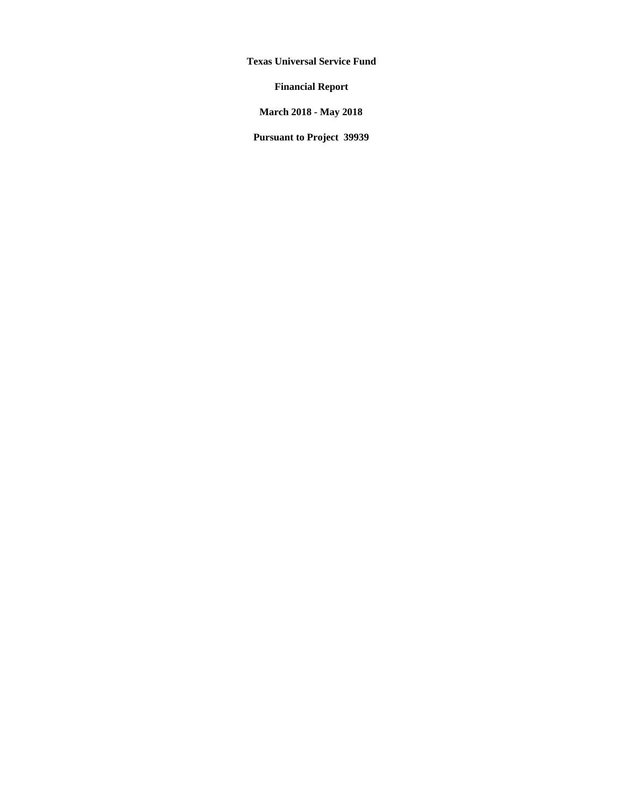**Texas Universal Service Fund** 

**Financial Report** 

**March 2018 - May 2018** 

**Pursuant to Project 39939**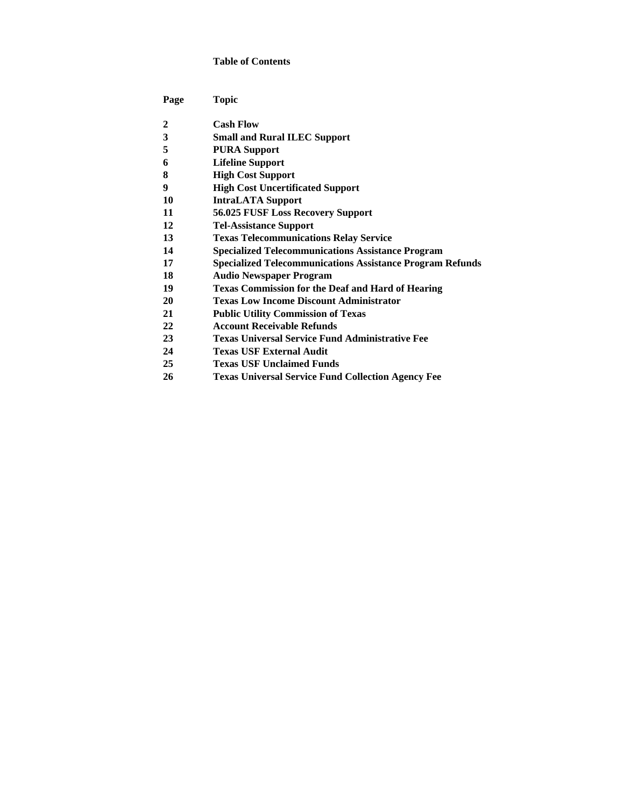#### **Table of Contents**

| Page | Topic                                                            |
|------|------------------------------------------------------------------|
| 2    | <b>Cash Flow</b>                                                 |
| 3    | <b>Small and Rural ILEC Support</b>                              |
| 5    | <b>PURA Support</b>                                              |
| 6    | <b>Lifeline Support</b>                                          |
| 8    | <b>High Cost Support</b>                                         |
| 9    | <b>High Cost Uncertificated Support</b>                          |
| 10   | <b>IntraLATA Support</b>                                         |
| 11   | 56.025 FUSF Loss Recovery Support                                |
| 12   | <b>Tel-Assistance Support</b>                                    |
| 13   | <b>Texas Telecommunications Relay Service</b>                    |
| 14   | <b>Specialized Telecommunications Assistance Program</b>         |
| 17   | <b>Specialized Telecommunications Assistance Program Refunds</b> |
| 18   | <b>Audio Newspaper Program</b>                                   |
| 19   | <b>Texas Commission for the Deaf and Hard of Hearing</b>         |
| 20   | <b>Texas Low Income Discount Administrator</b>                   |
| 21   | <b>Public Utility Commission of Texas</b>                        |
| 22   | <b>Account Receivable Refunds</b>                                |
| 23   | <b>Texas Universal Service Fund Administrative Fee</b>           |
| 24   | <b>Texas USF External Audit</b>                                  |
| 25   | <b>Texas USF Unclaimed Funds</b>                                 |
| 26   | <b>Texas Universal Service Fund Collection Agency Fee</b>        |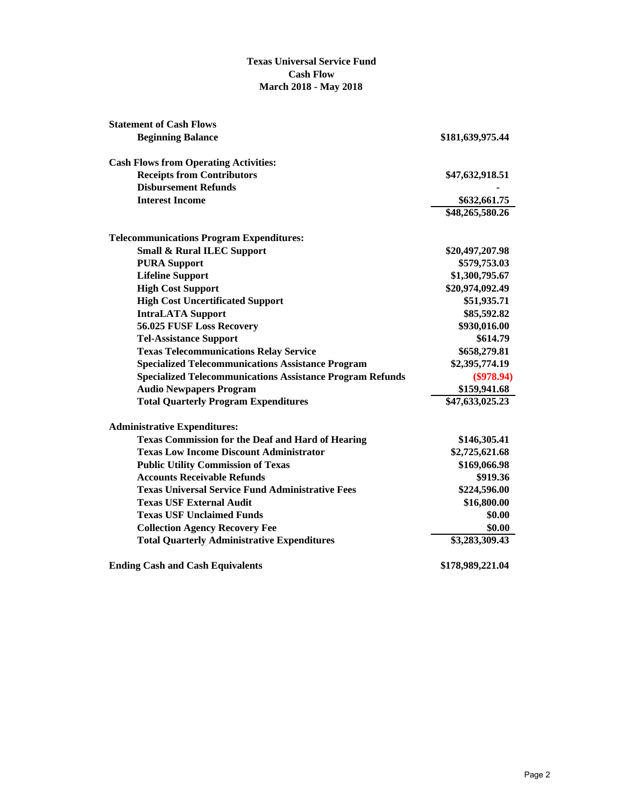#### **Texas Universal Service Fund Cash Flow March 2018 - May 2018**

| <b>Statement of Cash Flows</b>                                   |                  |
|------------------------------------------------------------------|------------------|
| <b>Beginning Balance</b>                                         | \$181,639,975.44 |
| <b>Cash Flows from Operating Activities:</b>                     |                  |
| <b>Receipts from Contributors</b>                                | \$47,632,918.51  |
| <b>Disbursement Refunds</b>                                      |                  |
| <b>Interest Income</b>                                           | \$632,661.75     |
|                                                                  | \$48,265,580.26  |
| <b>Telecommunications Program Expenditures:</b>                  |                  |
| <b>Small &amp; Rural ILEC Support</b>                            | \$20,497,207.98  |
| <b>PURA Support</b>                                              | \$579,753.03     |
| <b>Lifeline Support</b>                                          | \$1,300,795.67   |
| <b>High Cost Support</b>                                         | \$20,974,092.49  |
| <b>High Cost Uncertificated Support</b>                          | \$51,935.71      |
| <b>IntraLATA Support</b>                                         | \$85,592.82      |
| 56.025 FUSF Loss Recovery                                        | \$930,016.00     |
| <b>Tel-Assistance Support</b>                                    | \$614.79         |
| <b>Texas Telecommunications Relay Service</b>                    | \$658,279.81     |
| <b>Specialized Telecommunications Assistance Program</b>         | \$2,395,774.19   |
| <b>Specialized Telecommunications Assistance Program Refunds</b> | $(\$978.94)$     |
| <b>Audio Newpapers Program</b>                                   | \$159,941.68     |
| <b>Total Quarterly Program Expenditures</b>                      | \$47,633,025.23  |
| <b>Administrative Expenditures:</b>                              |                  |
| <b>Texas Commission for the Deaf and Hard of Hearing</b>         | \$146,305.41     |
| <b>Texas Low Income Discount Administrator</b>                   | \$2,725,621.68   |
| <b>Public Utility Commission of Texas</b>                        | \$169,066.98     |
| <b>Accounts Receivable Refunds</b>                               | \$919.36         |
| <b>Texas Universal Service Fund Administrative Fees</b>          | \$224,596.00     |
| <b>Texas USF External Audit</b>                                  | \$16,800.00      |
| <b>Texas USF Unclaimed Funds</b>                                 | \$0.00           |
| <b>Collection Agency Recovery Fee</b>                            | \$0.00           |
| <b>Total Quarterly Administrative Expenditures</b>               | \$3,283,309.43   |
| <b>Ending Cash and Cash Equivalents</b>                          | \$178,989,221.04 |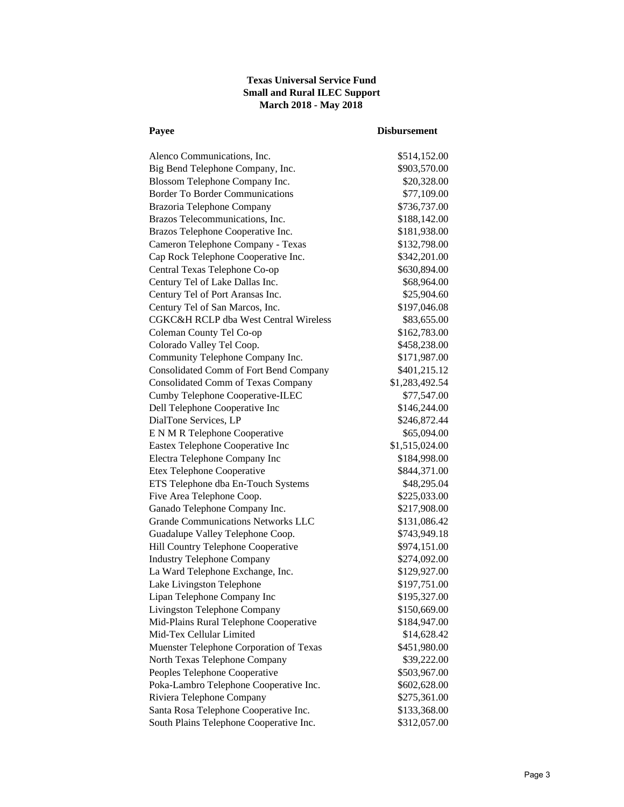# **Texas Universal Service Fund Small and Rural ILEC Support March 2018 - May 2018**

# **Payee Disbursement**

| Alenco Communications, Inc.               | \$514,152.00   |
|-------------------------------------------|----------------|
| Big Bend Telephone Company, Inc.          | \$903,570.00   |
| Blossom Telephone Company Inc.            | \$20,328.00    |
| <b>Border To Border Communications</b>    | \$77,109.00    |
| Brazoria Telephone Company                | \$736,737.00   |
| Brazos Telecommunications, Inc.           | \$188,142.00   |
| Brazos Telephone Cooperative Inc.         | \$181,938.00   |
| Cameron Telephone Company - Texas         | \$132,798.00   |
| Cap Rock Telephone Cooperative Inc.       | \$342,201.00   |
| Central Texas Telephone Co-op             | \$630,894.00   |
| Century Tel of Lake Dallas Inc.           | \$68,964.00    |
| Century Tel of Port Aransas Inc.          | \$25,904.60    |
| Century Tel of San Marcos, Inc.           | \$197,046.08   |
| CGKC&H RCLP dba West Central Wireless     | \$83,655.00    |
| Coleman County Tel Co-op                  | \$162,783.00   |
| Colorado Valley Tel Coop.                 | \$458,238.00   |
| Community Telephone Company Inc.          | \$171,987.00   |
| Consolidated Comm of Fort Bend Company    | \$401,215.12   |
| <b>Consolidated Comm of Texas Company</b> | \$1,283,492.54 |
| Cumby Telephone Cooperative-ILEC          | \$77,547.00    |
| Dell Telephone Cooperative Inc            | \$146,244.00   |
| DialTone Services, LP                     | \$246,872.44   |
| E N M R Telephone Cooperative             | \$65,094.00    |
| Eastex Telephone Cooperative Inc          | \$1,515,024.00 |
| Electra Telephone Company Inc             | \$184,998.00   |
| Etex Telephone Cooperative                | \$844,371.00   |
| ETS Telephone dba En-Touch Systems        | \$48,295.04    |
| Five Area Telephone Coop.                 | \$225,033.00   |
| Ganado Telephone Company Inc.             | \$217,908.00   |
| <b>Grande Communications Networks LLC</b> | \$131,086.42   |
| Guadalupe Valley Telephone Coop.          | \$743,949.18   |
| Hill Country Telephone Cooperative        | \$974,151.00   |
| <b>Industry Telephone Company</b>         | \$274,092.00   |
| La Ward Telephone Exchange, Inc.          | \$129,927.00   |
| Lake Livingston Telephone                 | \$197,751.00   |
| Lipan Telephone Company Inc               | \$195,327.00   |
| Livingston Telephone Company              | \$150,669.00   |
| Mid-Plains Rural Telephone Cooperative    | \$184,947.00   |
| Mid-Tex Cellular Limited                  | \$14,628.42    |
| Muenster Telephone Corporation of Texas   | \$451,980.00   |
| North Texas Telephone Company             | \$39,222.00    |
| Peoples Telephone Cooperative             | \$503,967.00   |
| Poka-Lambro Telephone Cooperative Inc.    | \$602,628.00   |
| Riviera Telephone Company                 | \$275,361.00   |
| Santa Rosa Telephone Cooperative Inc.     | \$133,368.00   |
| South Plains Telephone Cooperative Inc.   | \$312,057.00   |
|                                           |                |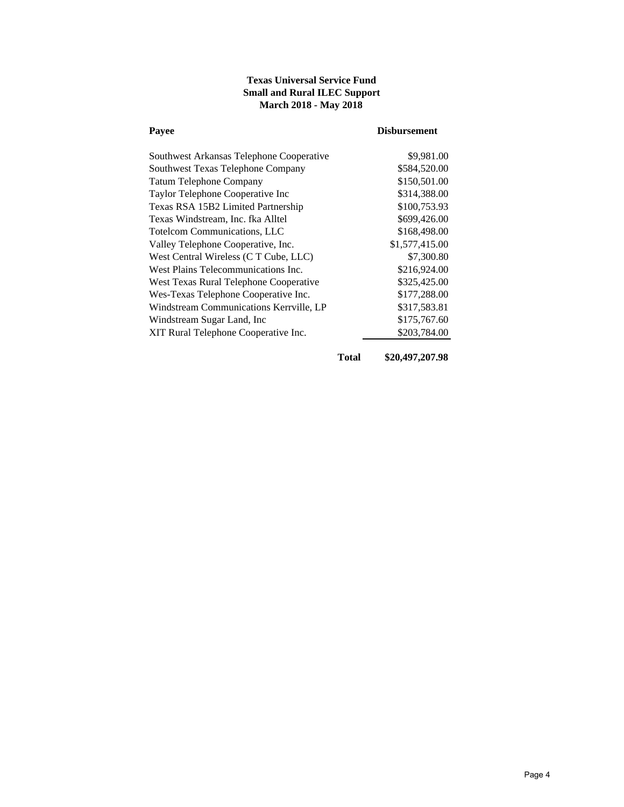# **Texas Universal Service Fund Small and Rural ILEC Support March 2018 - May 2018**

| Payee                                    | <b>Disbursement</b> |
|------------------------------------------|---------------------|
| Southwest Arkansas Telephone Cooperative | \$9,981.00          |
| Southwest Texas Telephone Company        | \$584,520.00        |
| <b>Tatum Telephone Company</b>           | \$150,501.00        |
| Taylor Telephone Cooperative Inc         | \$314,388.00        |
| Texas RSA 15B2 Limited Partnership       | \$100,753.93        |
| Texas Windstream, Inc. fka Alltel        | \$699,426.00        |
| <b>Totelcom Communications, LLC</b>      | \$168,498.00        |
| Valley Telephone Cooperative, Inc.       | \$1,577,415.00      |
| West Central Wireless (C T Cube, LLC)    | \$7,300.80          |
| West Plains Telecommunications Inc.      | \$216,924.00        |
| West Texas Rural Telephone Cooperative   | \$325,425.00        |
| Wes-Texas Telephone Cooperative Inc.     | \$177,288.00        |
| Windstream Communications Kerrville, LP  | \$317,583.81        |
| Windstream Sugar Land, Inc               | \$175,767.60        |
| XIT Rural Telephone Cooperative Inc.     | \$203,784.00        |
|                                          |                     |

**Total \$20,497,207.98**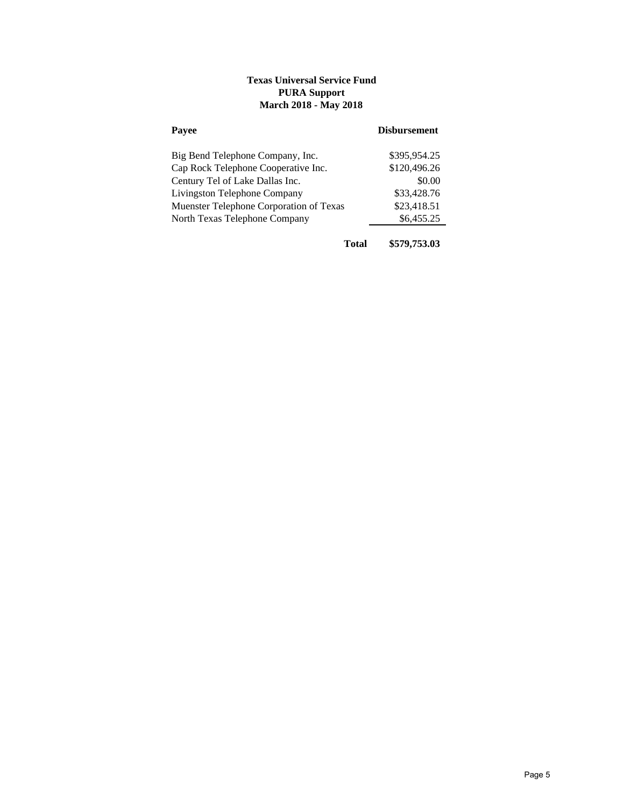# **Texas Universal Service Fund PURA Support March 2018 - May 2018**

| Payee                                   | <b>Disbursement</b> |
|-----------------------------------------|---------------------|
| Big Bend Telephone Company, Inc.        | \$395.954.25        |
| Cap Rock Telephone Cooperative Inc.     | \$120,496.26        |
| Century Tel of Lake Dallas Inc.         | \$0.00              |
| Livingston Telephone Company            | \$33,428.76         |
| Muenster Telephone Corporation of Texas | \$23,418.51         |
| North Texas Telephone Company           | \$6,455.25          |
|                                         |                     |

**Total \$579,753.03**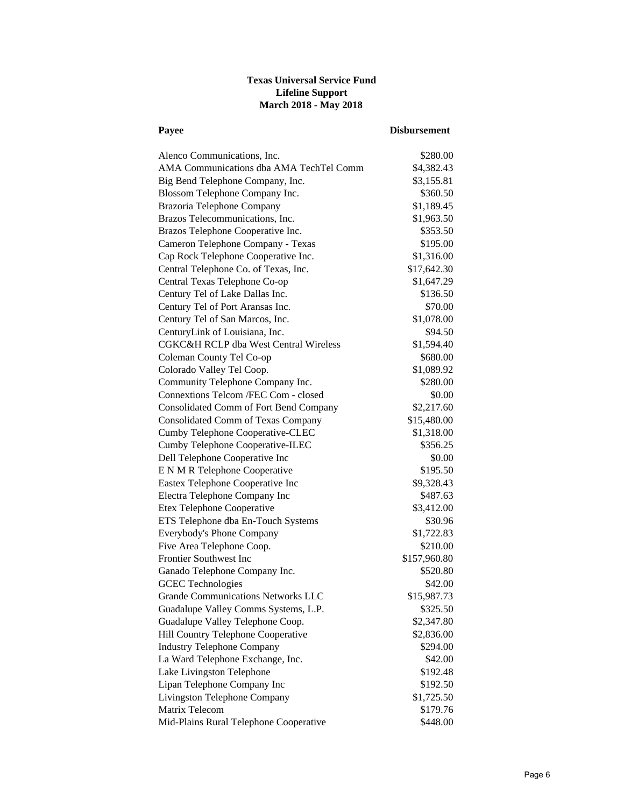# **Texas Universal Service Fund Lifeline Support March 2018 - May 2018**

| Payee                                     | <b>Disbursement</b> |
|-------------------------------------------|---------------------|
| Alenco Communications, Inc.               | \$280.00            |
| AMA Communications dba AMA TechTel Comm   | \$4,382.43          |
| Big Bend Telephone Company, Inc.          | \$3,155.81          |
| Blossom Telephone Company Inc.            | \$360.50            |
| Brazoria Telephone Company                | \$1,189.45          |
| Brazos Telecommunications, Inc.           | \$1,963.50          |
| Brazos Telephone Cooperative Inc.         | \$353.50            |
| Cameron Telephone Company - Texas         | \$195.00            |
| Cap Rock Telephone Cooperative Inc.       | \$1,316.00          |
| Central Telephone Co. of Texas, Inc.      | \$17,642.30         |
| Central Texas Telephone Co-op             | \$1,647.29          |
| Century Tel of Lake Dallas Inc.           | \$136.50            |
| Century Tel of Port Aransas Inc.          | \$70.00             |
| Century Tel of San Marcos, Inc.           | \$1,078.00          |
| CenturyLink of Louisiana, Inc.            | \$94.50             |
| CGKC&H RCLP dba West Central Wireless     | \$1,594.40          |
| Coleman County Tel Co-op                  | \$680.00            |
| Colorado Valley Tel Coop.                 | \$1,089.92          |
| Community Telephone Company Inc.          | \$280.00            |
| Connextions Telcom / FEC Com - closed     | \$0.00              |
| Consolidated Comm of Fort Bend Company    | \$2,217.60          |
| <b>Consolidated Comm of Texas Company</b> | \$15,480.00         |
| Cumby Telephone Cooperative-CLEC          | \$1,318.00          |
| Cumby Telephone Cooperative-ILEC          | \$356.25            |
| Dell Telephone Cooperative Inc            | \$0.00              |
| E N M R Telephone Cooperative             | \$195.50            |
| Eastex Telephone Cooperative Inc          | \$9,328.43          |
| Electra Telephone Company Inc             | \$487.63            |
| Etex Telephone Cooperative                | \$3,412.00          |
| ETS Telephone dba En-Touch Systems        | \$30.96             |
| Everybody's Phone Company                 | \$1,722.83          |
| Five Area Telephone Coop.                 | \$210.00            |
| <b>Frontier Southwest Inc.</b>            | \$157,960.80        |
| Ganado Telephone Company Inc.             | \$520.80            |
| <b>GCEC</b> Technologies                  | \$42.00             |
| <b>Grande Communications Networks LLC</b> | \$15,987.73         |
| Guadalupe Valley Comms Systems, L.P.      | \$325.50            |
| Guadalupe Valley Telephone Coop.          | \$2,347.80          |
| Hill Country Telephone Cooperative        | \$2,836.00          |
| <b>Industry Telephone Company</b>         | \$294.00            |
| La Ward Telephone Exchange, Inc.          | \$42.00             |
| Lake Livingston Telephone                 | \$192.48            |
| Lipan Telephone Company Inc               | \$192.50            |
| Livingston Telephone Company              | \$1,725.50          |
| Matrix Telecom                            | \$179.76            |
| Mid-Plains Rural Telephone Cooperative    | \$448.00            |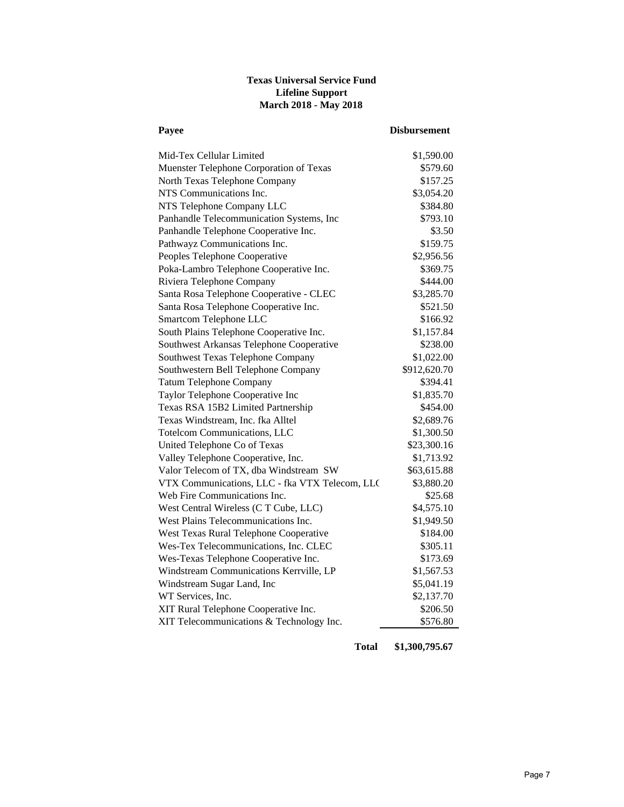# **Texas Universal Service Fund Lifeline Support March 2018 - May 2018**

| Payee                                          | <b>Disbursement</b> |
|------------------------------------------------|---------------------|
| Mid-Tex Cellular Limited                       | \$1,590.00          |
| Muenster Telephone Corporation of Texas        | \$579.60            |
| North Texas Telephone Company                  | \$157.25            |
| NTS Communications Inc.                        | \$3,054.20          |
| NTS Telephone Company LLC                      | \$384.80            |
| Panhandle Telecommunication Systems, Inc       | \$793.10            |
| Panhandle Telephone Cooperative Inc.           | \$3.50              |
| Pathwayz Communications Inc.                   | \$159.75            |
| Peoples Telephone Cooperative                  | \$2,956.56          |
| Poka-Lambro Telephone Cooperative Inc.         | \$369.75            |
| Riviera Telephone Company                      | \$444.00            |
| Santa Rosa Telephone Cooperative - CLEC        | \$3,285.70          |
| Santa Rosa Telephone Cooperative Inc.          | \$521.50            |
| Smartcom Telephone LLC                         | \$166.92            |
| South Plains Telephone Cooperative Inc.        | \$1,157.84          |
| Southwest Arkansas Telephone Cooperative       | \$238.00            |
| Southwest Texas Telephone Company              | \$1,022.00          |
| Southwestern Bell Telephone Company            | \$912,620.70        |
| <b>Tatum Telephone Company</b>                 | \$394.41            |
| Taylor Telephone Cooperative Inc               | \$1,835.70          |
| Texas RSA 15B2 Limited Partnership             | \$454.00            |
| Texas Windstream, Inc. fka Alltel              | \$2,689.76          |
| <b>Totelcom Communications, LLC</b>            | \$1,300.50          |
| United Telephone Co of Texas                   | \$23,300.16         |
| Valley Telephone Cooperative, Inc.             | \$1,713.92          |
| Valor Telecom of TX, dba Windstream SW         | \$63,615.88         |
| VTX Communications, LLC - fka VTX Telecom, LLC | \$3,880.20          |
| Web Fire Communications Inc.                   | \$25.68             |
| West Central Wireless (C T Cube, LLC)          | \$4,575.10          |
| West Plains Telecommunications Inc.            | \$1,949.50          |
| West Texas Rural Telephone Cooperative         | \$184.00            |
| Wes-Tex Telecommunications, Inc. CLEC          | \$305.11            |
| Wes-Texas Telephone Cooperative Inc.           | \$173.69            |
| Windstream Communications Kerrville, LP        | \$1,567.53          |
| Windstream Sugar Land, Inc                     | \$5,041.19          |
| WT Services, Inc.                              | \$2,137.70          |
| XIT Rural Telephone Cooperative Inc.           | \$206.50            |
| XIT Telecommunications & Technology Inc.       | \$576.80            |

**Total \$1,300,795.67**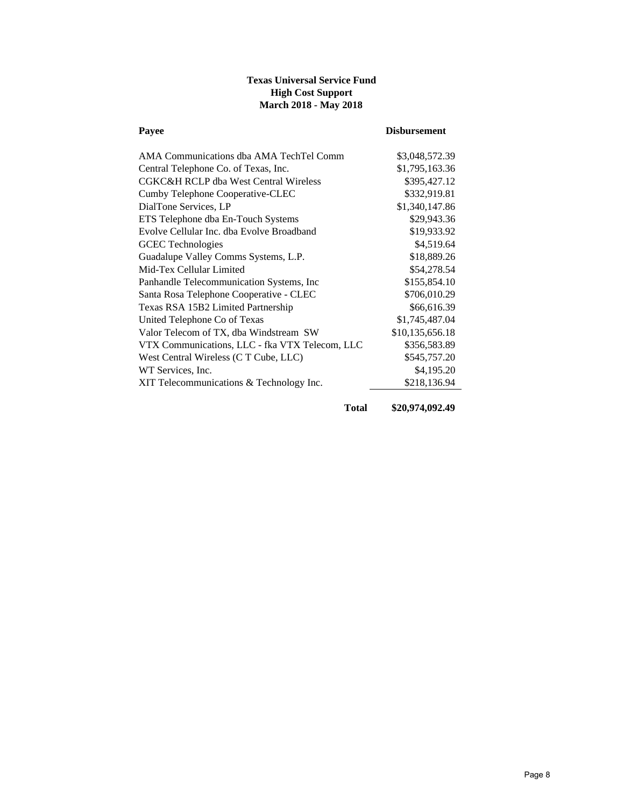# **Texas Universal Service Fund High Cost Support March 2018 - May 2018**

| Payee                                          | <b>Disbursement</b> |
|------------------------------------------------|---------------------|
| AMA Communications dba AMA TechTel Comm        | \$3,048,572.39      |
| Central Telephone Co. of Texas, Inc.           | \$1,795,163.36      |
| CGKC&H RCLP dba West Central Wireless          | \$395,427.12        |
| Cumby Telephone Cooperative-CLEC               | \$332,919.81        |
| DialTone Services, LP                          | \$1,340,147.86      |
| ETS Telephone dba En-Touch Systems             | \$29,943.36         |
| Evolve Cellular Inc. dba Evolve Broadband      | \$19,933.92         |
| <b>GCEC</b> Technologies                       | \$4,519.64          |
| Guadalupe Valley Comms Systems, L.P.           | \$18,889.26         |
| Mid-Tex Cellular Limited                       | \$54,278.54         |
| Panhandle Telecommunication Systems, Inc.      | \$155,854.10        |
| Santa Rosa Telephone Cooperative - CLEC        | \$706,010.29        |
| Texas RSA 15B2 Limited Partnership             | \$66,616.39         |
| United Telephone Co of Texas                   | \$1,745,487.04      |
| Valor Telecom of TX, dba Windstream SW         | \$10,135,656.18     |
| VTX Communications, LLC - fka VTX Telecom, LLC | \$356,583.89        |
| West Central Wireless (C T Cube, LLC)          | \$545,757.20        |
| WT Services, Inc.                              | \$4,195.20          |
| XIT Telecommunications & Technology Inc.       | \$218,136.94        |

**Total \$20,974,092.49**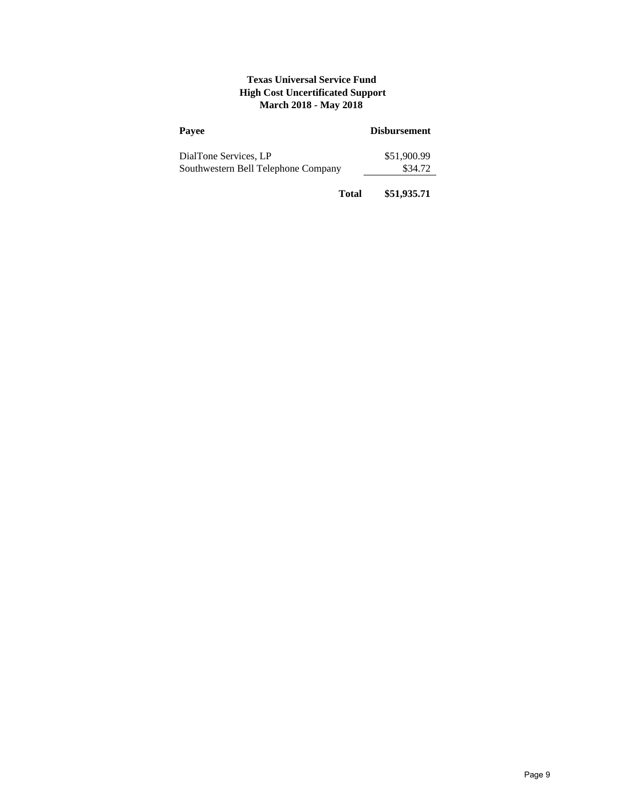# **Texas Universal Service Fund High Cost Uncertificated Support March 2018 - May 2018**

| Payee                                                        | <b>Disbursement</b>    |
|--------------------------------------------------------------|------------------------|
| DialTone Services, LP<br>Southwestern Bell Telephone Company | \$51,900.99<br>\$34.72 |
|                                                              |                        |

**Total \$51,935.71**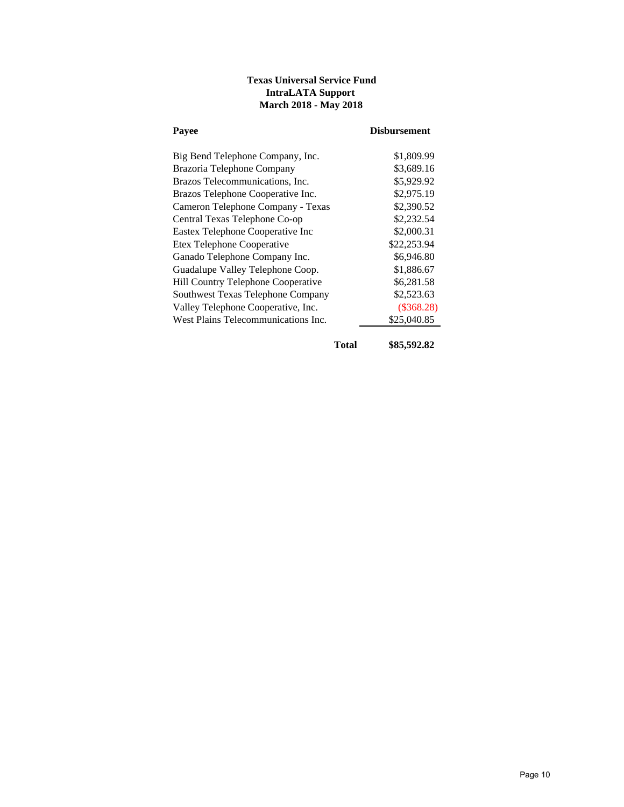# **Texas Universal Service Fund IntraLATA Support March 2018 - May 2018**

| Pavee                               | <b>Disbursement</b> |
|-------------------------------------|---------------------|
| Big Bend Telephone Company, Inc.    | \$1,809.99          |
| Brazoria Telephone Company          | \$3,689.16          |
| Brazos Telecommunications, Inc.     | \$5,929.92          |
| Brazos Telephone Cooperative Inc.   | \$2,975.19          |
| Cameron Telephone Company - Texas   | \$2,390.52          |
| Central Texas Telephone Co-op       | \$2,232.54          |
| Eastex Telephone Cooperative Inc    | \$2,000.31          |
| Etex Telephone Cooperative          | \$22,253.94         |
| Ganado Telephone Company Inc.       | \$6,946.80          |
| Guadalupe Valley Telephone Coop.    | \$1,886.67          |
| Hill Country Telephone Cooperative  | \$6,281.58          |
| Southwest Texas Telephone Company   | \$2,523.63          |
| Valley Telephone Cooperative, Inc.  | $(\$368.28)$        |
| West Plains Telecommunications Inc. | \$25,040.85         |
|                                     |                     |

**Total \$85,592.82**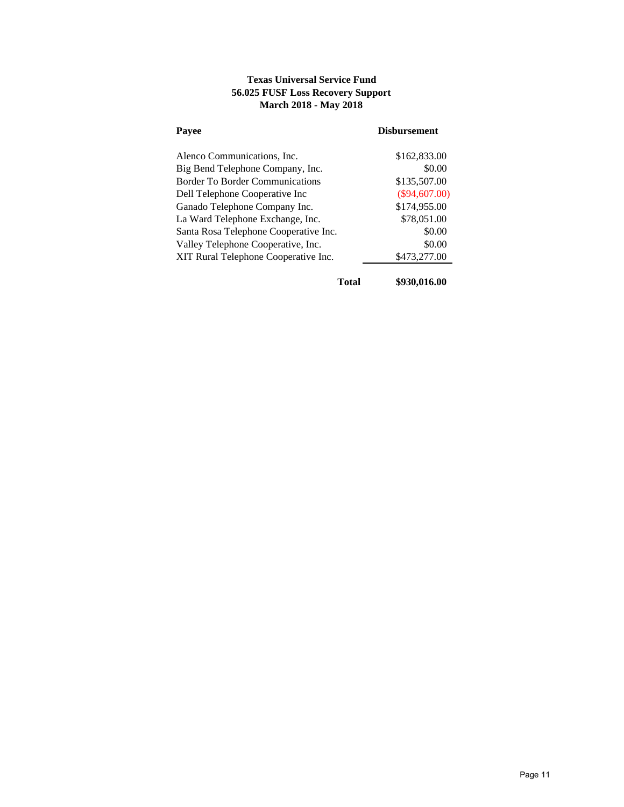# **Texas Universal Service Fund 56.025 FUSF Loss Recovery Support March 2018 - May 2018**

| Payee                                  | <b>Disbursement</b> |
|----------------------------------------|---------------------|
| Alenco Communications, Inc.            | \$162,833.00        |
| Big Bend Telephone Company, Inc.       | \$0.00              |
| <b>Border To Border Communications</b> | \$135,507.00        |
| Dell Telephone Cooperative Inc         | $(\$94,607.00)$     |
| Ganado Telephone Company Inc.          | \$174,955.00        |
| La Ward Telephone Exchange, Inc.       | \$78,051.00         |
| Santa Rosa Telephone Cooperative Inc.  | \$0.00              |
| Valley Telephone Cooperative, Inc.     | \$0.00              |
| XIT Rural Telephone Cooperative Inc.   | \$473,277.00        |

**Total \$930,016.00**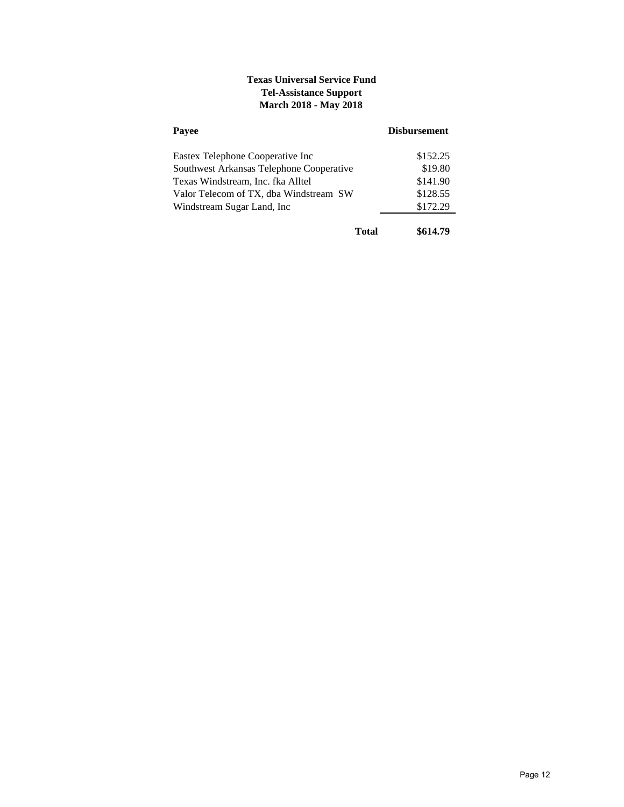# **Texas Universal Service Fund Tel-Assistance Support March 2018 - May 2018**

| Payee                                    | <b>Disbursement</b> |
|------------------------------------------|---------------------|
| Eastex Telephone Cooperative Inc         | \$152.25            |
| Southwest Arkansas Telephone Cooperative | \$19.80             |
| Texas Windstream, Inc. fka Alltel        | \$141.90            |
| Valor Telecom of TX, dba Windstream SW   | \$128.55            |
| Windstream Sugar Land, Inc.              | \$172.29            |
| Total                                    | \$614.79            |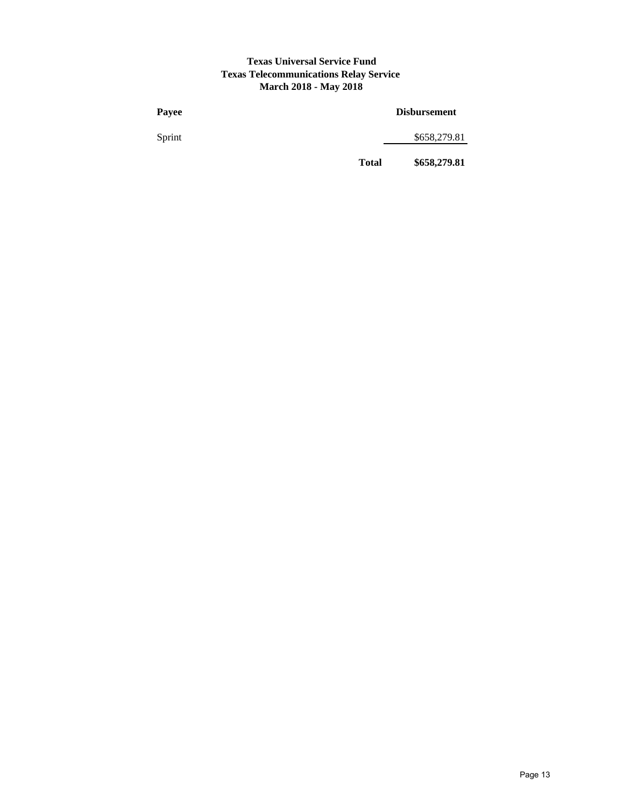#### **Texas Universal Service Fund Texas Telecommunications Relay Service March 2018 - May 2018**

| Payee  |              | <b>Disbursement</b> |
|--------|--------------|---------------------|
| Sprint |              | \$658,279.81        |
|        | <b>Total</b> | \$658,279.81        |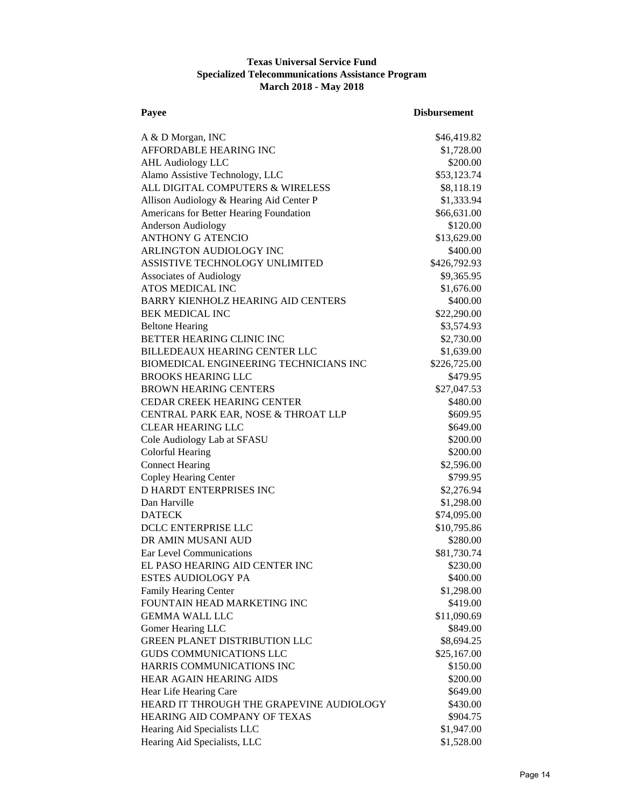## **Texas Universal Service Fund Specialized Telecommunications Assistance Program March 2018 - May 2018**

| Payee                                                           | <b>Disbursement</b>    |
|-----------------------------------------------------------------|------------------------|
| A & D Morgan, INC                                               | \$46,419.82            |
| AFFORDABLE HEARING INC                                          | \$1,728.00             |
| <b>AHL Audiology LLC</b>                                        | \$200.00               |
| Alamo Assistive Technology, LLC                                 | \$53,123.74            |
| ALL DIGITAL COMPUTERS & WIRELESS                                | \$8,118.19             |
| Allison Audiology & Hearing Aid Center P                        | \$1,333.94             |
| Americans for Better Hearing Foundation                         | \$66,631.00            |
| <b>Anderson Audiology</b>                                       | \$120.00               |
| <b>ANTHONY G ATENCIO</b>                                        | \$13,629.00            |
| ARLINGTON AUDIOLOGY INC                                         | \$400.00               |
| ASSISTIVE TECHNOLOGY UNLIMITED                                  | \$426,792.93           |
| <b>Associates of Audiology</b>                                  | \$9,365.95             |
| ATOS MEDICAL INC                                                |                        |
| <b>BARRY KIENHOLZ HEARING AID CENTERS</b>                       | \$1,676.00<br>\$400.00 |
|                                                                 | \$22,290.00            |
| <b>BEK MEDICAL INC</b>                                          |                        |
| <b>Beltone Hearing</b>                                          | \$3,574.93             |
| BETTER HEARING CLINIC INC                                       | \$2,730.00             |
| <b>BILLEDEAUX HEARING CENTER LLC</b>                            | \$1,639.00             |
| BIOMEDICAL ENGINEERING TECHNICIANS INC                          | \$226,725.00           |
| <b>BROOKS HEARING LLC</b>                                       | \$479.95               |
| <b>BROWN HEARING CENTERS</b>                                    | \$27,047.53            |
| <b>CEDAR CREEK HEARING CENTER</b>                               | \$480.00               |
| CENTRAL PARK EAR, NOSE & THROAT LLP<br><b>CLEAR HEARING LLC</b> | \$609.95               |
|                                                                 | \$649.00               |
| Cole Audiology Lab at SFASU                                     | \$200.00               |
| Colorful Hearing                                                | \$200.00               |
| <b>Connect Hearing</b>                                          | \$2,596.00             |
| Copley Hearing Center                                           | \$799.95               |
| <b>D HARDT ENTERPRISES INC</b>                                  | \$2,276.94             |
| Dan Harville                                                    | \$1,298.00             |
| <b>DATECK</b>                                                   | \$74,095.00            |
| DCLC ENTERPRISE LLC                                             | \$10,795.86            |
| DR AMIN MUSANI AUD                                              | \$280.00               |
| Ear Level Communications                                        | \$81,730.74            |
| EL PASO HEARING AID CENTER INC                                  | \$230.00               |
| <b>ESTES AUDIOLOGY PA</b>                                       | \$400.00               |
| Family Hearing Center                                           | \$1,298.00             |
| FOUNTAIN HEAD MARKETING INC                                     | \$419.00               |
| <b>GEMMA WALL LLC</b>                                           | \$11,090.69            |
| Gomer Hearing LLC                                               | \$849.00               |
| <b>GREEN PLANET DISTRIBUTION LLC</b>                            | \$8,694.25             |
| <b>GUDS COMMUNICATIONS LLC</b>                                  | \$25,167.00            |
| HARRIS COMMUNICATIONS INC                                       | \$150.00               |
| HEAR AGAIN HEARING AIDS                                         | \$200.00               |
| Hear Life Hearing Care                                          | \$649.00               |
| HEARD IT THROUGH THE GRAPEVINE AUDIOLOGY                        | \$430.00               |
| HEARING AID COMPANY OF TEXAS                                    | \$904.75               |
| Hearing Aid Specialists LLC                                     | \$1,947.00             |
| Hearing Aid Specialists, LLC                                    | \$1,528.00             |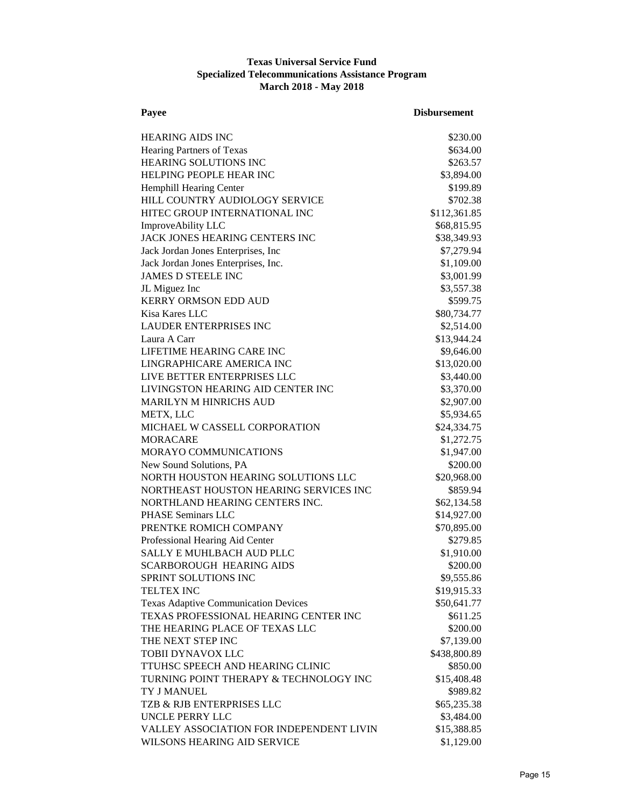## **Texas Universal Service Fund Specialized Telecommunications Assistance Program March 2018 - May 2018**

| Payee                                       | <b>Disbursement</b> |
|---------------------------------------------|---------------------|
| <b>HEARING AIDS INC</b>                     | \$230.00            |
| Hearing Partners of Texas                   | \$634.00            |
| HEARING SOLUTIONS INC                       | \$263.57            |
| HELPING PEOPLE HEAR INC                     | \$3,894.00          |
| Hemphill Hearing Center                     | \$199.89            |
| HILL COUNTRY AUDIOLOGY SERVICE              | \$702.38            |
| HITEC GROUP INTERNATIONAL INC               | \$112,361.85        |
| ImproveAbility LLC                          | \$68,815.95         |
| JACK JONES HEARING CENTERS INC              | \$38,349.93         |
| Jack Jordan Jones Enterprises, Inc          | \$7,279.94          |
| Jack Jordan Jones Enterprises, Inc.         | \$1,109.00          |
| <b>JAMES D STEELE INC</b>                   | \$3,001.99          |
| JL Miguez Inc                               | \$3,557.38          |
| <b>KERRY ORMSON EDD AUD</b>                 | \$599.75            |
| Kisa Kares LLC                              | \$80,734.77         |
| <b>LAUDER ENTERPRISES INC</b>               | \$2,514.00          |
| Laura A Carr                                | \$13,944.24         |
| LIFETIME HEARING CARE INC                   | \$9,646.00          |
| LINGRAPHICARE AMERICA INC                   | \$13,020.00         |
| LIVE BETTER ENTERPRISES LLC                 | \$3,440.00          |
| LIVINGSTON HEARING AID CENTER INC           | \$3,370.00          |
| MARILYN M HINRICHS AUD                      | \$2,907.00          |
| METX, LLC                                   | \$5,934.65          |
| MICHAEL W CASSELL CORPORATION               | \$24,334.75         |
| <b>MORACARE</b>                             | \$1,272.75          |
| MORAYO COMMUNICATIONS                       | \$1,947.00          |
| New Sound Solutions, PA                     | \$200.00            |
| NORTH HOUSTON HEARING SOLUTIONS LLC         | \$20,968.00         |
| NORTHEAST HOUSTON HEARING SERVICES INC      | \$859.94            |
| NORTHLAND HEARING CENTERS INC.              | \$62,134.58         |
| PHASE Seminars LLC                          | \$14,927.00         |
| PRENTKE ROMICH COMPANY                      | \$70,895.00         |
| Professional Hearing Aid Center             | \$279.85            |
| <b>SALLY E MUHLBACH AUD PLLC</b>            | \$1,910.00          |
| SCARBOROUGH HEARING AIDS                    | \$200.00            |
| SPRINT SOLUTIONS INC                        | \$9,555.86          |
| <b>TELTEX INC</b>                           | \$19,915.33         |
| <b>Texas Adaptive Communication Devices</b> | \$50,641.77         |
| TEXAS PROFESSIONAL HEARING CENTER INC       | \$611.25            |
| THE HEARING PLACE OF TEXAS LLC              | \$200.00            |
| THE NEXT STEP INC                           | \$7,139.00          |
| TOBII DYNAVOX LLC                           | \$438,800.89        |
| TTUHSC SPEECH AND HEARING CLINIC            | \$850.00            |
| TURNING POINT THERAPY & TECHNOLOGY INC      | \$15,408.48         |
| TY J MANUEL                                 | \$989.82            |
| TZB & RJB ENTERPRISES LLC                   | \$65,235.38         |
| <b>UNCLE PERRY LLC</b>                      | \$3,484.00          |
| VALLEY ASSOCIATION FOR INDEPENDENT LIVIN    | \$15,388.85         |
| WILSONS HEARING AID SERVICE                 | \$1,129.00          |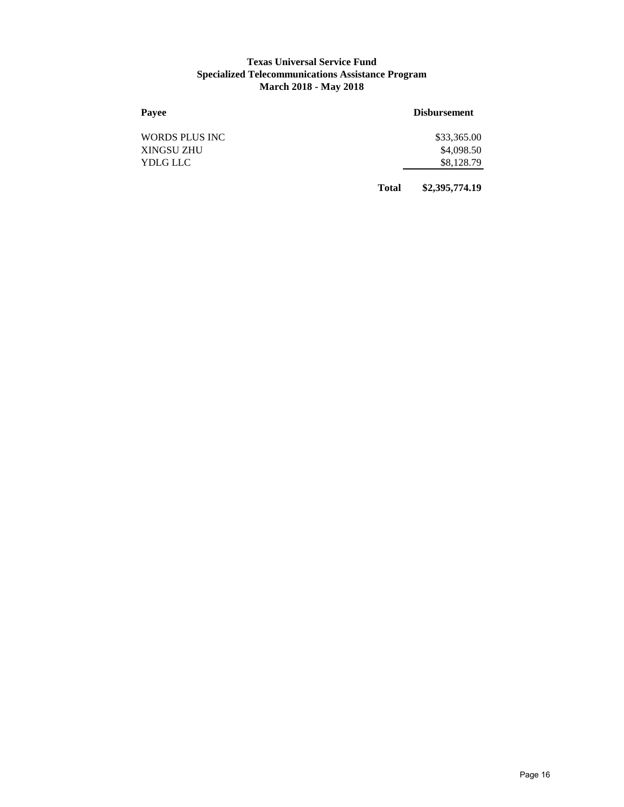#### **Texas Universal Service Fund Specialized Telecommunications Assistance Program March 2018 - May 2018**

| Payee          |              | <b>Disbursement</b> |
|----------------|--------------|---------------------|
| WORDS PLUS INC |              | \$33,365.00         |
| XINGSU ZHU     |              | \$4,098.50          |
| YDLG LLC       |              | \$8,128.79          |
|                | <b>Total</b> | \$2,395,774.19      |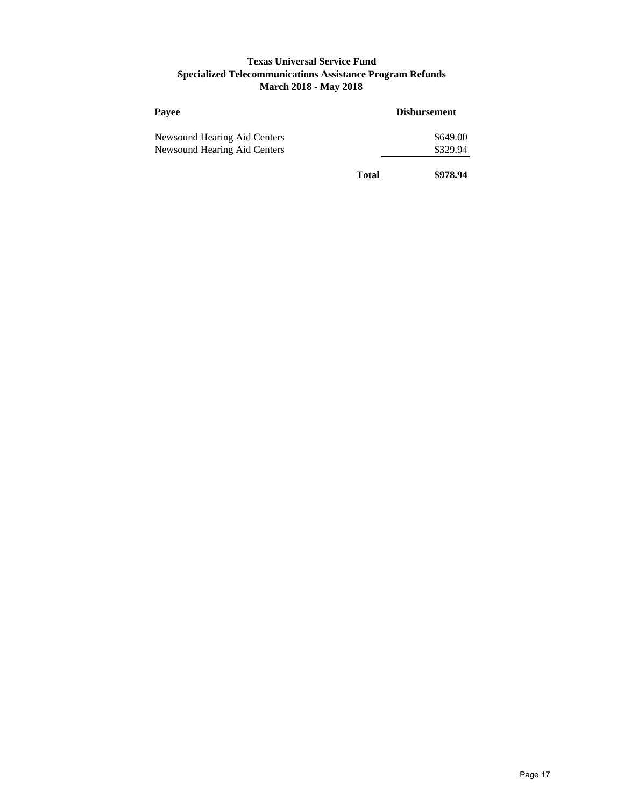## **Texas Universal Service Fund Specialized Telecommunications Assistance Program Refunds March 2018 - May 2018**

| Payee                        |       | <b>Disbursement</b> |  |
|------------------------------|-------|---------------------|--|
| Newsound Hearing Aid Centers |       | \$649.00            |  |
| Newsound Hearing Aid Centers |       | \$329.94            |  |
|                              | Total | \$978.94            |  |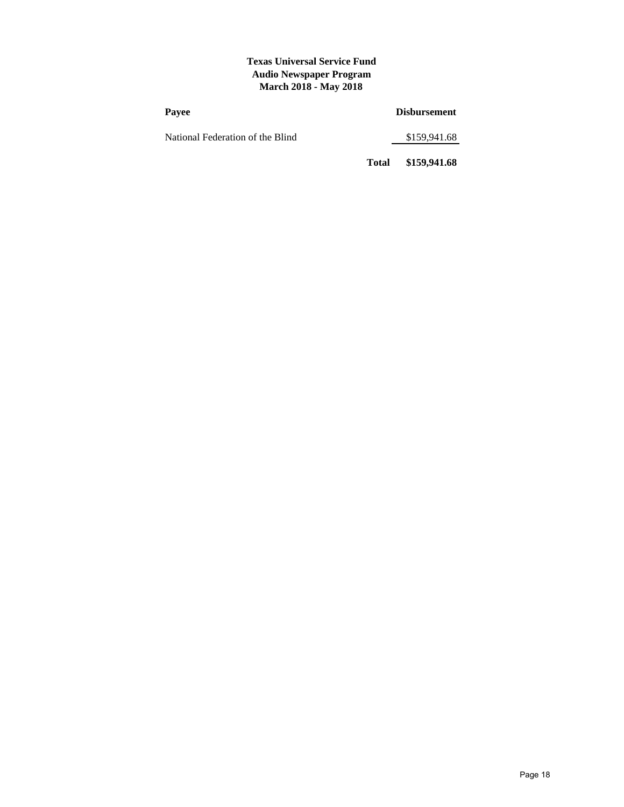#### **Texas Universal Service Fund Audio Newspaper Program March 2018 - May 2018**

| Payee                            |       | <b>Disbursement</b> |
|----------------------------------|-------|---------------------|
| National Federation of the Blind |       | \$159,941.68        |
|                                  | Total | \$159,941.68        |

Page 18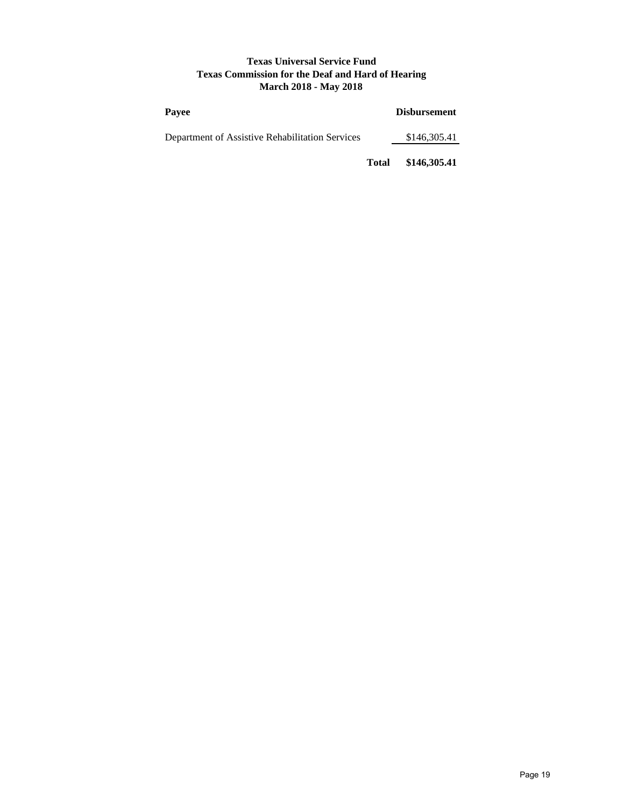### **Texas Universal Service Fund Texas Commission for the Deaf and Hard of Hearing March 2018 - May 2018**

| Pavee                                           |              | <b>Disbursement</b> |
|-------------------------------------------------|--------------|---------------------|
| Department of Assistive Rehabilitation Services | \$146,305.41 |                     |
|                                                 | <b>Total</b> | \$146,305.41        |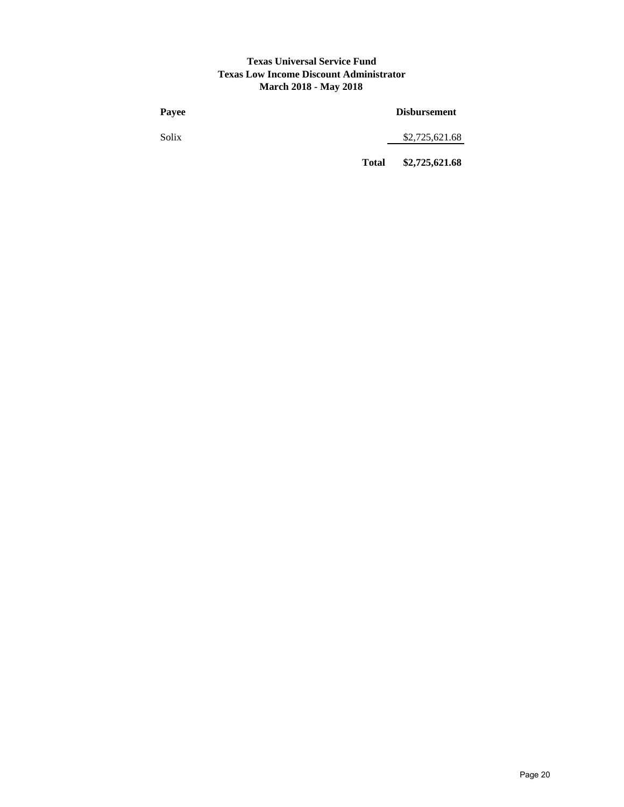#### **Texas Universal Service Fund Texas Low Income Discount Administrator March 2018 - May 2018**

| Payee |              | <b>Disbursement</b> |  |  |
|-------|--------------|---------------------|--|--|
| Solix |              | \$2,725,621.68      |  |  |
|       | <b>Total</b> | \$2,725,621.68      |  |  |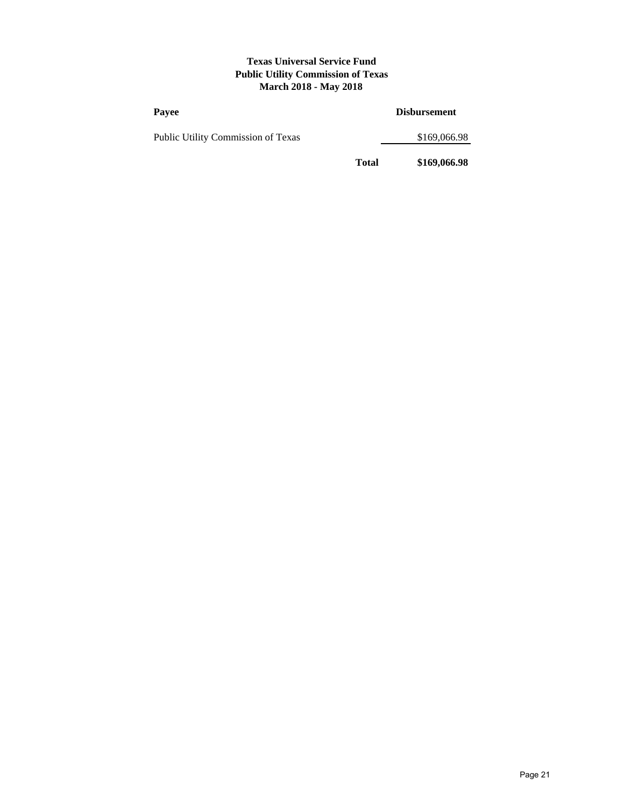#### **Texas Universal Service Fund Public Utility Commission of Texas March 2018 - May 2018**

| Payee                              |              | <b>Disbursement</b> |
|------------------------------------|--------------|---------------------|
| Public Utility Commission of Texas |              | \$169,066.98        |
|                                    | <b>Total</b> | \$169,066.98        |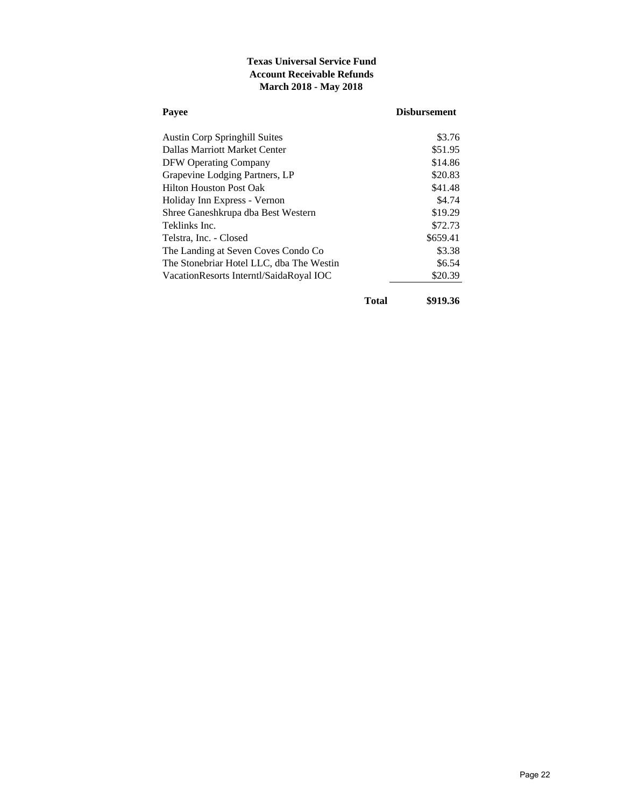# **Texas Universal Service Fund Account Receivable Refunds March 2018 - May 2018**

| Payee                                    | <b>Disbursement</b> |
|------------------------------------------|---------------------|
| <b>Austin Corp Springhill Suites</b>     | \$3.76              |
| Dallas Marriott Market Center            | \$51.95             |
| <b>DFW Operating Company</b>             | \$14.86             |
| Grapevine Lodging Partners, LP           | \$20.83             |
| <b>Hilton Houston Post Oak</b>           | \$41.48             |
| Holiday Inn Express - Vernon             | \$4.74              |
| Shree Ganeshkrupa dba Best Western       | \$19.29             |
| Teklinks Inc.                            | \$72.73             |
| Telstra, Inc. - Closed                   | \$659.41            |
| The Landing at Seven Coves Condo Co      | \$3.38              |
| The Stonebriar Hotel LLC, dba The Westin | \$6.54              |
| VacationResorts Interntl/SaidaRoyal IOC  | \$20.39             |
| <b>Total</b>                             | \$919.36            |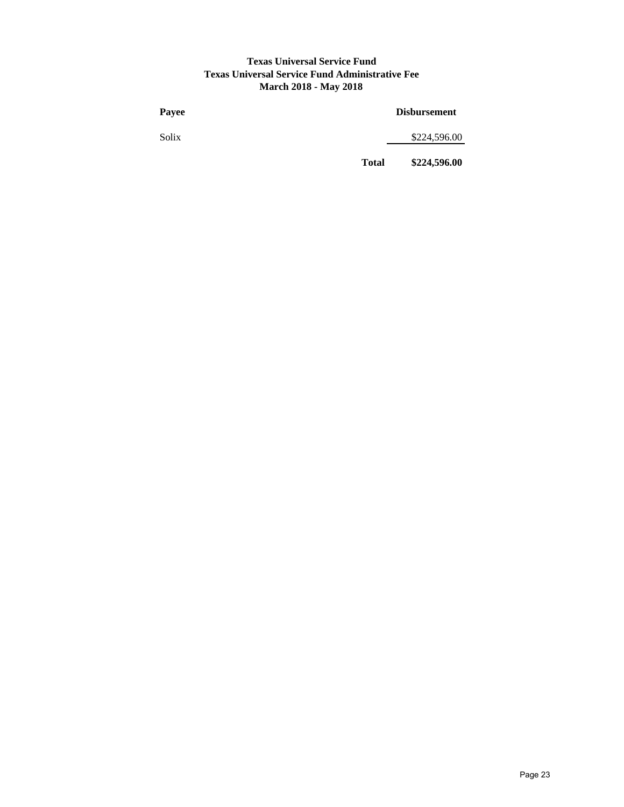# **Texas Universal Service Fund Texas Universal Service Fund Administrative Fee March 2018 - May 2018**

| Payee |              | <b>Disbursement</b> |
|-------|--------------|---------------------|
| Solix |              | \$224,596.00        |
|       | <b>Total</b> | \$224,596.00        |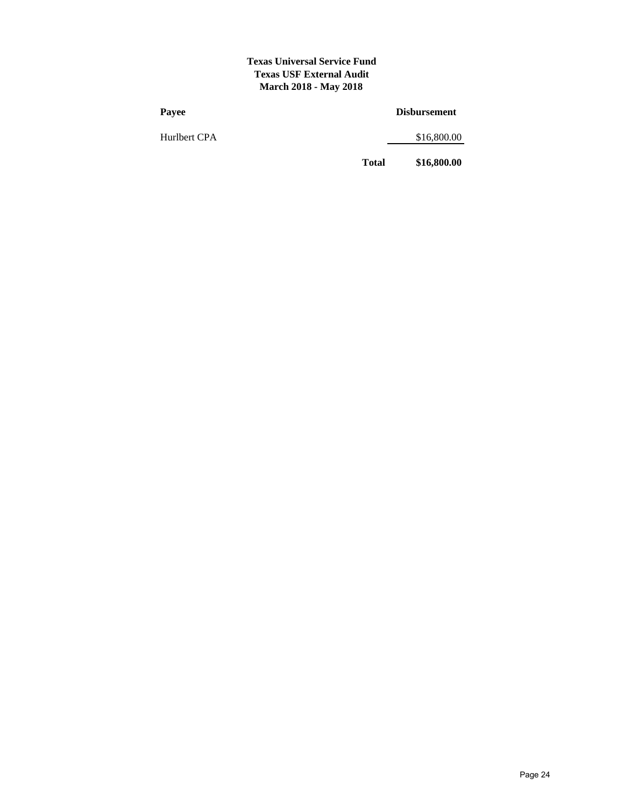#### **Texas Universal Service Fund Texas USF External Audit March 2018 - May 2018**

| Payee        | <b>Disbursement</b> |             |  |
|--------------|---------------------|-------------|--|
| Hurlbert CPA |                     | \$16,800.00 |  |
|              | <b>Total</b>        | \$16,800.00 |  |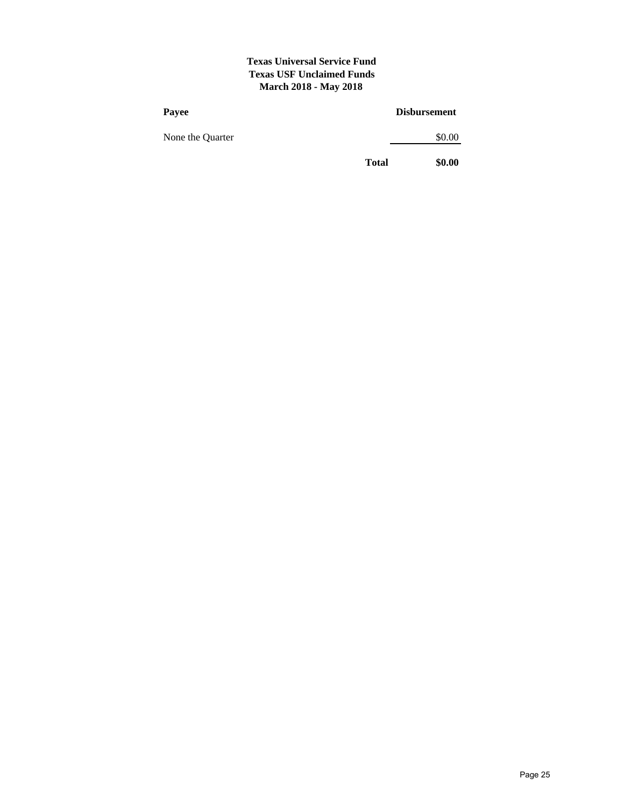### **Texas Universal Service Fund Texas USF Unclaimed Funds March 2018 - May 2018**

| Payee            |              | <b>Disbursement</b> |
|------------------|--------------|---------------------|
| None the Quarter |              | \$0.00              |
|                  | <b>Total</b> | \$0.00              |